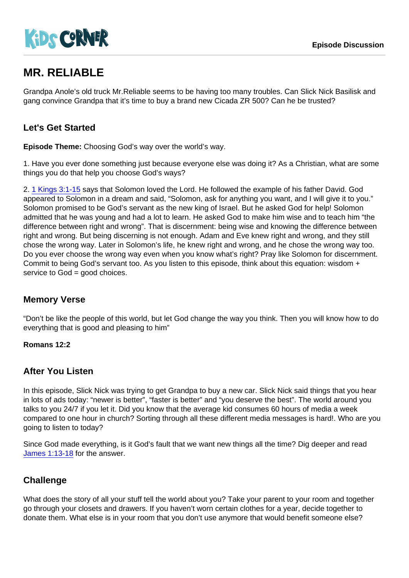# MR. RELIABLE

Grandpa Anole's old truck Mr.Reliable seems to be having too many troubles. Can Slick Nick Basilisk and gang convince Grandpa that it's time to buy a brand new Cicada ZR 500? Can he be trusted?

### Let's Get Started

Episode Theme: Choosing God's way over the world's way.

1. Have you ever done something just because everyone else was doing it? As a Christian, what are some things you do that help you choose God's ways?

2. [1 Kings 3:1-15](https://www.biblegateway.com/passage/?search=1+Kings+3:1-15) says that Solomon loved the Lord. He followed the example of his father David. God appeared to Solomon in a dream and said, "Solomon, ask for anything you want, and I will give it to you." Solomon promised to be God's servant as the new king of Israel. But he asked God for help! Solomon admitted that he was young and had a lot to learn. He asked God to make him wise and to teach him "the difference between right and wrong". That is discernment: being wise and knowing the difference between right and wrong. But being discerning is not enough. Adam and Eve knew right and wrong, and they still chose the wrong way. Later in Solomon's life, he knew right and wrong, and he chose the wrong way too. Do you ever choose the wrong way even when you know what's right? Pray like Solomon for discernment. Commit to being God's servant too. As you listen to this episode, think about this equation: wisdom + service to God = good choices.

#### Memory Verse

"Don't be like the people of this world, but let God change the way you think. Then you will know how to do everything that is good and pleasing to him"

Romans 12:2

#### After You Listen

In this episode, Slick Nick was trying to get Grandpa to buy a new car. Slick Nick said things that you hear in lots of ads today: "newer is better", "faster is better" and "you deserve the best". The world around you talks to you 24/7 if you let it. Did you know that the average kid consumes 60 hours of media a week compared to one hour in church? Sorting through all these different media messages is hard!. Who are you going to listen to today?

Since God made everything, is it God's fault that we want new things all the time? Dig deeper and read [James 1:13-18](https://www.biblegateway.com/passage/?search=James+1:13-18) for the answer.

#### **Challenge**

What does the story of all your stuff tell the world about you? Take your parent to your room and together go through your closets and drawers. If you haven't worn certain clothes for a year, decide together to donate them. What else is in your room that you don't use anymore that would benefit someone else?